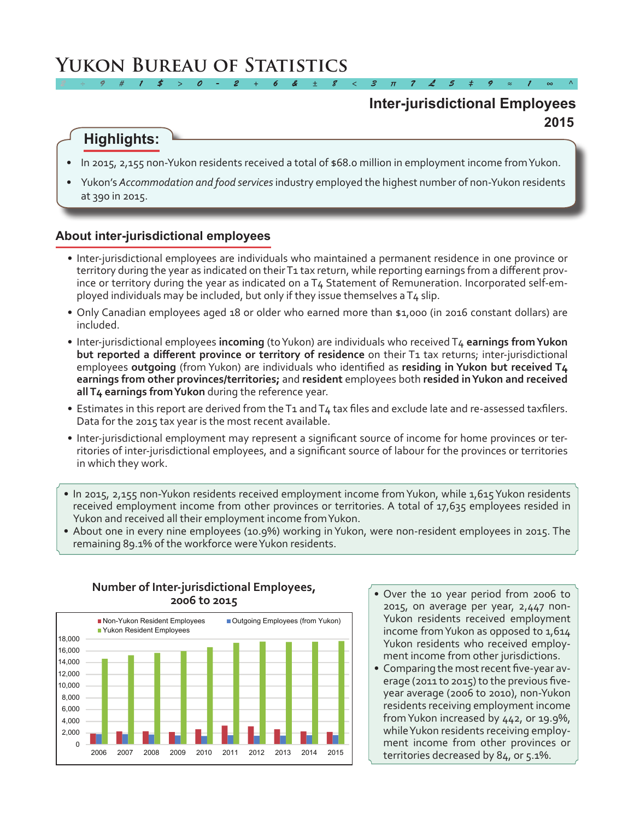# **Yukon Bureau of Statistics**

# **2015 Inter-jurisdictional Employees**

# **Highlights:**

In 2015, 2,155 non-Yukon residents received a total of \$68.0 million in employment income from Yukon.

*2 ÷ 9 # 1 \$ > 0 - 2 + 6 & ± 8 < 3 π 7 £ 5 ‡ 9 ≈ 1 ∞ ^*

Yukon's *Accommodation and food services* industry employed the highest number of non-Yukon residents at 390 in 2015.

### **About inter-jurisdictional employees**

- • Inter-jurisdictional employees are individuals who maintained a permanent residence in one province or territory during the year as indicated on their T1 tax return, while reporting earnings from a different province or territory during the year as indicated on a T4 Statement of Remuneration. Incorporated self-employed individuals may be included, but only if they issue themselves aT4 slip.
- Only Canadian employees aged 18 or older who earned more than \$1,000 (in 2016 constant dollars) are included.
- • Inter-jurisdictional employees **incoming** (toYukon) are individuals who received T4 **earnings from Yukon but reported a different province or territory of residence** on their T1 tax returns; inter-jurisdictional employees **outgoing** (from Yukon) are individuals who identified as **residing in Yukon but received T4 earnings from other provinces/territories;** and **resident** employees both **resided in Yukon and received all T4 earnings from Yukon** during the reference year.
- Estimates in this report are derived from the T1 and T4 tax files and exclude late and re-assessed taxfilers. Data for the 2015 tax year is the most recent available.
- • Inter-jurisdictional employment may represent a significant source of income for home provinces or territories of inter-jurisdictional employees, and a significant source of labour for the provinces or territories in which they work.
- In 2015, 2,155 non-Yukon residents received employment income from Yukon, while 1,615 Yukon residents received employment income from other provinces or territories. A total of 17,635 employees resided in Yukon and received all their employment income fromYukon.
- • About one in every nine employees (10.9%) working in Yukon, were non-resident employees in 2015. The remaining 89.1% of the workforce were Yukon residents.



### **Number of Inter-jurisdictional Employees, 2006 to 2015**

- Over the 10 year period from 2006 to 2015, on average per year, 2,447 non-Yukon residents received employment income fromYukon as opposed to 1,614 Yukon residents who received employment income from other jurisdictions.
- Comparing the most recent five-year average (2011 to 2015) to the previous fiveyear average (2006 to 2010), non-Yukon residents receiving employment income fromYukon increased by 442, or 19.9%, while Yukon residents receiving employment income from other provinces or territories decreased by 84, or 5.1%.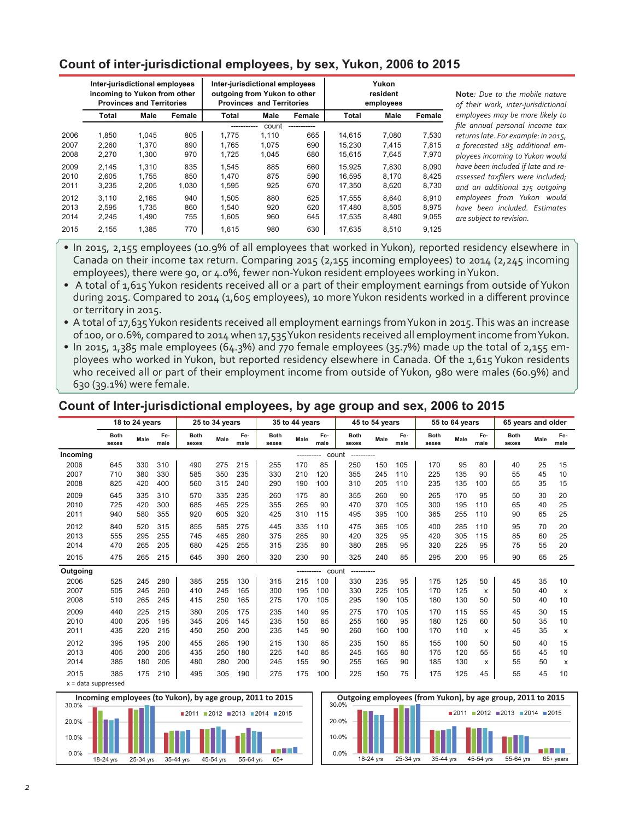# **Count of inter-jurisdictional employees, by sex, Yukon, 2006 to 2015**

|      | Inter-jurisdictional employees<br>incoming to Yukon from other<br><b>Provinces and Territories</b> |       | Inter-jurisdictional employees<br>outgoing from Yukon to other | <b>Provinces and Territories</b> |       | Yukon<br>resident<br>employees |        |             |        |
|------|----------------------------------------------------------------------------------------------------|-------|----------------------------------------------------------------|----------------------------------|-------|--------------------------------|--------|-------------|--------|
|      | Total                                                                                              | Male  | Female                                                         | Total                            | Male  | Female                         | Total  | <b>Male</b> | Female |
|      |                                                                                                    |       |                                                                | -----------                      | count | -----------                    |        |             |        |
| 2006 | 1.850                                                                                              | 1.045 | 805                                                            | 1.775                            | 1.110 | 665                            | 14.615 | 7.080       | 7.530  |
| 2007 | 2,260                                                                                              | 1.370 | 890                                                            | 1.765                            | 1,075 | 690                            | 15.230 | 7.415       | 7,815  |
| 2008 | 2,270                                                                                              | 1,300 | 970                                                            | 1,725                            | 1,045 | 680                            | 15,615 | 7,645       | 7,970  |
| 2009 | 2.145                                                                                              | 1.310 | 835                                                            | 1.545                            | 885   | 660                            | 15.925 | 7.830       | 8.090  |
| 2010 | 2,605                                                                                              | 1.755 | 850                                                            | 1.470                            | 875   | 590                            | 16.595 | 8,170       | 8,425  |
| 2011 | 3,235                                                                                              | 2,205 | 1,030                                                          | 1,595                            | 925   | 670                            | 17,350 | 8,620       | 8,730  |
| 2012 | 3.110                                                                                              | 2.165 | 940                                                            | 1.505                            | 880   | 625                            | 17.555 | 8.640       | 8,910  |
| 2013 | 2,595                                                                                              | 1.735 | 860                                                            | 1.540                            | 920   | 620                            | 17.480 | 8,505       | 8,975  |
| 2014 | 2.245                                                                                              | 1.490 | 755                                                            | 1.605                            | 960   | 645                            | 17.535 | 8,480       | 9,055  |
| 2015 | 2,155                                                                                              | 1,385 | 770                                                            | 1,615                            | 980   | 630                            | 17,635 | 8,510       | 9,125  |

**Note***: Due to the mobile nature of their work, inter-jurisdictional employees may be more likely to file annual personal income tax returns late. For example: in 2015, a forecasted 185 additional employees incoming to Yukon would have been included if late and reassessed taxfilers were included; and an additional 175 outgoing employees from Yukon would have been included. Estimates*   $re$  subject to revision.

• In 2015, 2,155 employees (10.9% of all employees that worked in Yukon), reported residency elsewhere in Canada on their income tax return. Comparing 2015 (2,155 incoming employees) to 2014 (2,245 incoming employees), there were 90, or 4.0%, fewer non-Yukon resident employees working inYukon.

• A total of 1,615 Yukon residents received all or a part of their employment earnings from outside of Yukon during 2015. Compared to 2014 (1,605 employees), 10 moreYukon residents worked in a different province or territory in 2015.

• A total of 17,635 Yukon residents received all employment earnings from Yukon in 2015. This was an increase of 100, or 0.6%, compared to 2014 when 17,535 Yukon residents received all employment income from Yukon.

• In 2015, 1,385 male employees (64.3%) and 770 female employees (35.7%) made up the total of 2,155 employees who worked in Yukon, but reported residency elsewhere in Canada. Of the 1,615 Yukon residents who received all or part of their employment income from outside of Yukon, 980 were males (60.9%) and 630 (39.1%) were female.

### **Count of Inter-jurisdictional employees, by age group and sex, 2006 to 2015**

|                       |                      | 18 to 24 years |             |                      | 25 to 34 years |             |                      | 35 to 44 years |             |                      | 45 to 54 years |             |                      | 55 to 64 years |             | 65 years and older   |      |                           |
|-----------------------|----------------------|----------------|-------------|----------------------|----------------|-------------|----------------------|----------------|-------------|----------------------|----------------|-------------|----------------------|----------------|-------------|----------------------|------|---------------------------|
|                       | <b>Both</b><br>sexes | Male           | Fe-<br>male | <b>Both</b><br>sexes | Male           | Fe-<br>male | <b>Both</b><br>sexes | Male           | Fe-<br>male | <b>Both</b><br>sexes | Male           | Fe-<br>male | <b>Both</b><br>sexes | Male           | Fe-<br>male | <b>Both</b><br>sexes | Male | Fe-<br>male               |
| Incoming              |                      |                |             |                      |                |             |                      | -----          |             | count<br>----------  |                |             |                      |                |             |                      |      |                           |
| 2006                  | 645                  | 330            | 310         | 490                  | 275            | 215         | 255                  | 170            | 85          | 250                  | 150            | 105         | 170                  | 95             | 80          | 40                   | 25   | 15                        |
| 2007                  | 710                  | 380            | 330         | 585                  | 350            | 235         | 330                  | 210            | 120         | 355                  | 245            | 110         | 225                  | 135            | 90          | 55                   | 45   | 10                        |
| 2008                  | 825                  | 420            | 400         | 560                  | 315            | 240         | 290                  | 190            | 100         | 310                  | 205            | 110         | 235                  | 135            | 100         | 55                   | 35   | 15                        |
| 2009                  | 645                  | 335            | 310         | 570                  | 335            | 235         | 260                  | 175            | 80          | 355                  | 260            | 90          | 265                  | 170            | 95          | 50                   | 30   | 20                        |
| 2010                  | 725                  | 420            | 300         | 685                  | 465            | 225         | 355                  | 265            | 90          | 470                  | 370            | 105         | 300                  | 195            | 110         | 65                   | 40   | 25                        |
| 2011                  | 940                  | 580            | 355         | 920                  | 605            | 320         | 425                  | 310            | 115         | 495                  | 395            | 100         | 365                  | 255            | 110         | 90                   | 65   | 25                        |
| 2012                  | 840                  | 520            | 315         | 855                  | 585            | 275         | 445                  | 335            | 110         | 475                  | 365            | 105         | 400                  | 285            | 110         | 95                   | 70   | 20                        |
| 2013                  | 555                  | 295            | 255         | 745                  | 465            | 280         | 375                  | 285            | 90          | 420                  | 325            | 95          | 420                  | 305            | 115         | 85                   | 60   | 25                        |
| 2014                  | 470                  | 265            | 205         | 680                  | 425            | 255         | 315                  | 235            | 80          | 380                  | 285            | 95          | 320                  | 225            | 95          | 75                   | 55   | 20                        |
| 2015                  | 475                  | 265            | 215         | 645                  | 390            | 260         | 320                  | 230            | 90          | 325                  | 240            | 85          | 295                  | 200            | 95          | 90                   | 65   | 25                        |
| Outgoing              |                      |                |             |                      |                |             |                      | -----------    |             | count<br>----------  |                |             |                      |                |             |                      |      |                           |
| 2006                  | 525                  | 245            | 280         | 385                  | 255            | 130         | 315                  | 215            | 100         | 330                  | 235            | 95          | 175                  | 125            | 50          | 45                   | 35   | 10                        |
| 2007                  | 505                  | 245            | 260         | 410                  | 245            | 165         | 300                  | 195            | 100         | 330                  | 225            | 105         | 170                  | 125            | x           | 50                   | 40   | x                         |
| 2008                  | 510                  | 265            | 245         | 415                  | 250            | 165         | 275                  | 170            | 105         | 295                  | 190            | 105         | 180                  | 130            | 50          | 50                   | 40   | 10                        |
| 2009                  | 440                  | 225            | 215         | 380                  | 205            | 175         | 235                  | 140            | 95          | 275                  | 170            | 105         | 170                  | 115            | 55          | 45                   | 30   | 15                        |
| 2010                  | 400                  | 205            | 195         | 345                  | 205            | 145         | 235                  | 150            | 85          | 255                  | 160            | 95          | 180                  | 125            | 60          | 50                   | 35   | 10                        |
| 2011                  | 435                  | 220            | 215         | 450                  | 250            | 200         | 235                  | 145            | 90          | 260                  | 160            | 100         | 170                  | 110            | x           | 45                   | 35   | $\boldsymbol{\mathsf{x}}$ |
| 2012                  | 395                  | 195            | 200         | 455                  | 265            | 190         | 215                  | 130            | 85          | 235                  | 150            | 85          | 155                  | 100            | 50          | 50                   | 40   | 15                        |
| 2013                  | 405                  | 200            | 205         | 435                  | 250            | 180         | 225                  | 140            | 85          | 245                  | 165            | 80          | 175                  | 120            | 55          | 55                   | 45   | 10                        |
| 2014                  | 385                  | 180            | 205         | 480                  | 280            | 200         | 245                  | 155            | 90          | 255                  | 165            | 90          | 185                  | 130            | x           | 55                   | 50   | х                         |
| 2015                  | 385                  | 175            | 210         | 495                  | 305            | 190         | 275                  | 175            | 100         | 225                  | 150            | 75          | 175                  | 125            | 45          | 55                   | 45   | 10                        |
| $x = data$ suppressed |                      |                |             |                      |                |             |                      |                |             |                      |                |             |                      |                |             |                      |      |                           |



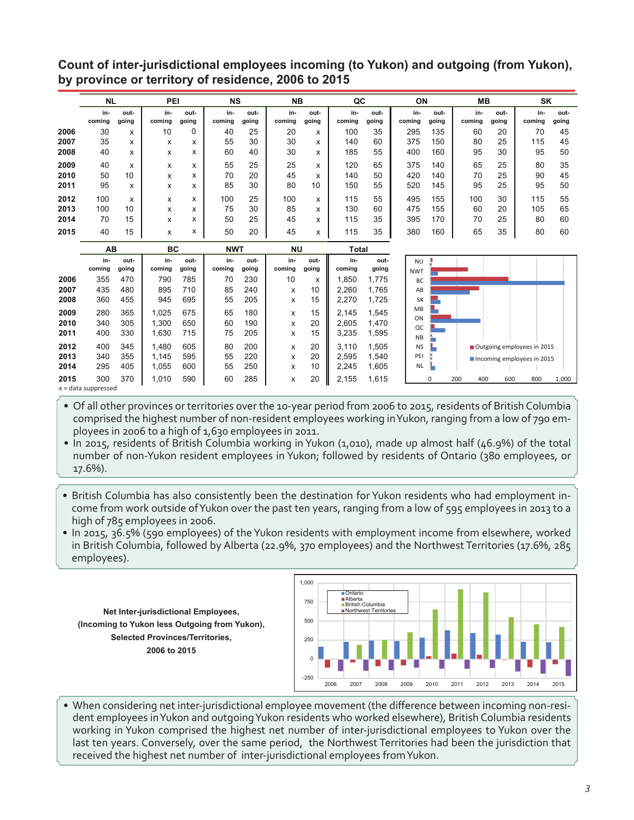**Count of inter-jurisdictional employees incoming (to Yukon) and outgoing (from Yukon), by province or territory of residence, 2006 to 2015**

|      | <b>NL</b>     |               | PEI           |               | <b>NS</b>     |               | <b>NB</b>     |               | QC            |               | ON            |               | <b>MB</b>     |               | SK            |               |
|------|---------------|---------------|---------------|---------------|---------------|---------------|---------------|---------------|---------------|---------------|---------------|---------------|---------------|---------------|---------------|---------------|
|      | in-<br>coming | out-<br>going | in-<br>coming | out-<br>going | in-<br>coming | out-<br>going | in-<br>coming | out-<br>going | in-<br>coming | out-<br>going | in-<br>coming | out-<br>going | in-<br>coming | out-<br>going | in-<br>coming | out-<br>going |
| 2006 | 30            | x             | 10            | 0             | 40            | 25            | 20            | x             | 100           | 35            | 295           | 135           | 60            | 20            | 70            | 45            |
| 2007 | 35            | x             | x             | x             | 55            | 30            | 30            | x             | 140           | 60            | 375           | 150           | 80            | 25            | 115           | 45            |
| 2008 | 40            | x             | x             | x             | 60            | 40            | 30            | x             | 185           | 55            | 400           | 160           | 95            | 30            | 95            | 50            |
| 2009 | 40            | x             | x             | x             | 55            | 25            | 25            | x             | 120           | 65            | 375           | 140           | 65            | 25            | 80            | 35            |
| 2010 | 50            | 10            | x             | x             | 70            | 20            | 45            | x             | 140           | 50            | 420           | 140           | 70            | 25            | 90            | 45            |
| 2011 | 95            | x             | x             | x             | 85            | 30            | 80            | 10            | 150           | 55            | 520           | 145           | 95            | 25            | 95            | 50            |
| 2012 | 100           | x             | x             | x             | 100           | 25            | 100           | x             | 115           | 55            | 495           | 155           | 100           | 30            | 115           | 55            |
| 2013 | 100           | 10            | x             | x             | 75            | 30            | 85            | X             | 130           | 60            | 475           | 155           | 60            | 20            | 105           | 65            |
| 2014 | 70            | 15            | x             | x             | 50            | 25            | 45            | X             | 115           | 35            | 395           | 170           | 70            | 25            | 80            | 60            |
| 2015 | 40            | 15            | x             | x             | 50            | 20            | 45            | x             | 115           | 35            | 380           | 160           | 65            | 35            | 80            | 60            |

|              | AВ                                 |               | BC             |               | <b>NWT</b>    |               | <b>NU</b>     |               | Total          |                |                         |     |     |     |                            |       |
|--------------|------------------------------------|---------------|----------------|---------------|---------------|---------------|---------------|---------------|----------------|----------------|-------------------------|-----|-----|-----|----------------------------|-------|
|              | in-<br>coming                      | out-<br>going | in-<br>coming  | out-<br>going | in-<br>coming | out-<br>going | in-<br>coming | out-<br>going | in-<br>coming  | out-<br>going  | <b>NU</b><br><b>NWT</b> |     |     |     |                            |       |
| 2006         | 355                                | 470           | 790            | 785           | 70            | 230           | 10            | x             | .850           | 1.775          | BC                      |     |     |     |                            |       |
| 2007         | 435                                | 480           | 895            | 710           | 85            | 240           | x             | 10            | 2.260          | 1.765          | AB                      |     |     |     |                            |       |
| 2008         | 360                                | 455           | 945            | 695           | 55            | 205           | x             | 15            | 2.270          | 1,725          | <b>SK</b>               |     |     |     |                            |       |
| 2009         | 280                                | 365           | 1,025          | 675           | 65            | 180           | x             | 15            | 2.145          | 1,545          | <b>MB</b><br>ON         |     |     |     |                            |       |
| 2010<br>2011 | 340<br>400                         | 305<br>330    | 1,300<br>1,630 | 650<br>715    | 60<br>75      | 190<br>205    | x<br>x        | 20<br>15      | 2.605<br>3.235 | 1.470<br>1,595 | QC                      |     |     |     |                            |       |
| 2012         | 400                                | 345           | 1.480          | 605           | 80            | 200           | x             | 20            | 3.110          | 1.505          | <b>NB</b><br><b>NS</b>  |     |     |     | Outgoing employees in 2015 |       |
| 2013         | 340                                | 355           | 1,145          | 595           | 55            | 220           | x             | 20            | 2.595          | 1.540          | PEI                     |     |     |     | Incoming employees in 2015 |       |
| 2014         | 295                                | 405           | 1.055          | 600           | 55            | 250           | x             | 10            | 2.245          | 1.605          | <b>NL</b>               |     |     |     |                            |       |
| 2015         | 300<br>$V = \theta$ ata cunnaccood | 370           | 1,010          | 590           | 60            | 285           | x             | 20            | 2,155          | 1,615          | $\Omega$                | 200 | 400 | 600 | 800                        | 1.000 |

x = data suppressed

• Of all other provinces or territories over the 10-year period from 2006 to 2015, residents of British Columbia comprised the highest number of non-resident employees working inYukon, ranging from a low of 790 employees in 2006 to a high of 1,630 employees in 2011.

• In 2015, residents of British Columbia working in Yukon (1,010), made up almost half (46.9%) of the total number of non-Yukon resident employees in Yukon; followed by residents of Ontario (380 employees, or 17.6%).

- British Columbia has also consistently been the destination for Yukon residents who had employment income from work outside ofYukon over the past ten years, ranging from a low of 595 employees in 2013 to a high of 785 employees in 2006.
- In 2015, 36.5% (590 employees) of the Yukon residents with employment income from elsewhere, worked in British Columbia, followed by Alberta (22.9%, 370 employees) and the Northwest Territories (17.6%, 285 employees).

**Net Inter-jurisdictional Employees, (Incoming to Yukon less Outgoing from Yukon), Selected Provinces/Territories, 2006 to 2015**



• When considering net inter-jurisdictional employee movement (the difference between incoming non-resident employees in Yukon and outgoing Yukon residents who worked elsewhere), British Columbia residents working in Yukon comprised the highest net number of inter-jurisdictional employees to Yukon over the last ten years. Conversely, over the same period, the Northwest Territories had been the jurisdiction that received the highest net number of inter-jurisdictional employees fromYukon.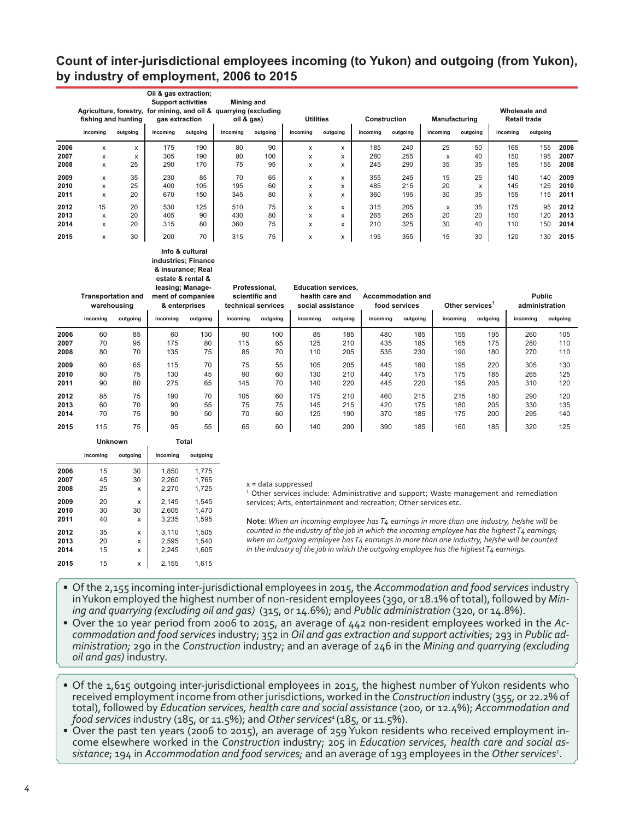# **Count of inter-jurisdictional employees incoming (to Yukon) and outgoing (from Yukon), by industry of employment, 2006 to 2015**

|      |          | fishing and hunting | Agriculture, forestry, for mining, and oil & quarrying (excluding | Oil & gas extraction;<br><b>Support activities</b><br>gas extraction |          | <b>Mining and</b><br>oil & gas) | <b>Utilities</b> |          |          | Construction | Manufacturing |          | Wholesale and<br><b>Retail trade</b> |          |      |
|------|----------|---------------------|-------------------------------------------------------------------|----------------------------------------------------------------------|----------|---------------------------------|------------------|----------|----------|--------------|---------------|----------|--------------------------------------|----------|------|
|      | incoming | outgoing            | incoming                                                          | outgoing                                                             | incoming | outgoing                        | incoming         | outgoing | incoming | outgoing     | incoming      | outgoing | incoming                             | outgoing |      |
| 2006 | x        | x                   | 175                                                               | 190                                                                  | 80       | 90                              | x                | x        | 185      | 240          | 25            | 50       | 165                                  | 155      | 2006 |
| 2007 | x        | x                   | 305                                                               | 190                                                                  | 80       | 100                             | x                | x        | 280      | 255          | x             | 40       | 150                                  | 195      | 2007 |
| 2008 | x        | 25                  | 290                                                               | 170                                                                  | 75       | 95                              | x                | x        | 245      | 290          | 35            | 35       | 185                                  | 155      | 2008 |
| 2009 | x        | 35                  | 230                                                               | 85                                                                   | 70       | 65                              | x                | x        | 355      | 245          | 15            | 25       | 140                                  | 140      | 2009 |
| 2010 | x        | 25                  | 400                                                               | 105                                                                  | 195      | 60                              | x                | x        | 485      | 215          | 20            | x        | 145                                  | 125      | 2010 |
| 2011 | x        | 20                  | 670                                                               | 150                                                                  | 345      | 80                              | x                | x        | 360      | 195          | 30            | 35       | 155                                  | 115      | 2011 |
| 2012 | 15       | 20                  | 530                                                               | 125                                                                  | 510      | 75                              | x                | x        | 315      | 205          | x             | 35       | 175                                  | 95       | 2012 |
| 2013 | x        | 20                  | 405                                                               | 90                                                                   | 430      | 80                              | x                | x        | 265      | 265          | 20            | 20       | 150                                  | 120      | 2013 |
| 2014 | x        | 20                  | 315                                                               | 80                                                                   | 360      | 75                              | x                | x        | 210      | 325          | 30            | 40       | 110                                  | 150      | 2014 |
| 2015 | x        | 30                  | 200                                                               | 70                                                                   | 315      | 75                              | x                | x        | 195      | 355          | 15            | 30       | 120                                  | 130      | 2015 |

#### **Info & cultural industries; Finance & insurance; Real estate & rental &**

|      | <b>Transportation and</b><br>warehousing<br>incoming | outgoing | באמנכ שוכוונמו ש<br>leasing; Manage-<br>& enterprises<br>incoming | ment of companies<br>outgoing | Professional.<br>scientific and<br>technical services<br>incoming | outgoing | <b>Education services.</b><br>health care and<br>social assistance<br>incoming | outgoing | <b>Accommodation and</b><br>food services<br>incoming | outgoing | Other services<br>incoming | outgoing | <b>Public</b><br>administration<br>incoming | outgoing |
|------|------------------------------------------------------|----------|-------------------------------------------------------------------|-------------------------------|-------------------------------------------------------------------|----------|--------------------------------------------------------------------------------|----------|-------------------------------------------------------|----------|----------------------------|----------|---------------------------------------------|----------|
| 2006 | 60                                                   | 85       | 60                                                                | 130                           | 90                                                                | 100      | 85                                                                             | 185      | 480                                                   | 185      | 155                        | 195      | 260                                         | 105      |
| 2007 | 70                                                   | 95       | 175                                                               | 80                            | 115                                                               | 65       | 125                                                                            | 210      | 435                                                   | 185      | 165                        | 175      | 280                                         | 110      |
| 2008 | 80                                                   | 70       | 135                                                               | 75                            | 85                                                                | 70       | 110                                                                            | 205      | 535                                                   | 230      | 190                        | 180      | 270                                         | 110      |
| 2009 | 60                                                   | 65       | 115                                                               | 70                            | 75                                                                | 55       | 105                                                                            | 205      | 445                                                   | 180      | 195                        | 220      | 305                                         | 130      |
| 2010 | 80                                                   | 75       | 130                                                               | 45                            | 90                                                                | 60       | 130                                                                            | 210      | 440                                                   | 175      | 175                        | 185      | 265                                         | 125      |
| 2011 | 90                                                   | 80       | 275                                                               | 65                            | 145                                                               | 70       | 140                                                                            | 220      | 445                                                   | 220      | 195                        | 205      | 310                                         | 120      |
| 2012 | 85                                                   | 75       | 190                                                               | 70                            | 105                                                               | 60       | 175                                                                            | 210      | 460                                                   | 215      | 215                        | 180      | 290                                         | 120      |
| 2013 | 60                                                   | 70       | 90                                                                | 55                            | 75                                                                | 75       | 145                                                                            | 215      | 420                                                   | 175      | 180                        | 205      | 330                                         | 135      |
| 2014 | 70                                                   | 75       | 90                                                                | 50                            | 70                                                                | 60       | 125                                                                            | 190      | 370                                                   | 185      | 175                        | 200      | 295                                         | 140      |
| 2015 | 115                                                  | 75       | 95                                                                | 55                            | 65                                                                | 60       | 140                                                                            | 200      | 390                                                   | 185      | 160                        | 185      | 320                                         | 125      |

|      | Unknown  |          | Total    |          |  |  |
|------|----------|----------|----------|----------|--|--|
|      | incoming | outgoing | incoming | outgoing |  |  |
| 2006 | 15       | 30       | 1,850    | 1,775    |  |  |
| 2007 | 45       | 30       | 2,260    | 1,765    |  |  |
| 2008 | 25       | X        | 2.270    | 1.725    |  |  |
| 2009 | 20       | X        | 2.145    | 1.545    |  |  |
| 2010 | 30       | 30       | 2,605    | 1,470    |  |  |
| 2011 | 40       | X        | 3.235    | 1.595    |  |  |
| 2012 | 35       | X        | 3.110    | 1,505    |  |  |
| 2013 | 20       | X        | 2,595    | 1,540    |  |  |
| 2014 | 15       | X        | 2.245    | 1.605    |  |  |
| 2015 | 15       | x        | 2.155    | 1.615    |  |  |

#### x = data suppressed

<sup>1</sup> Other services include: Administrative and support; Waste management and remediation services; Arts, entertainment and recreation; Other services etc.

**Note***: When an incoming employee has T4 earnings in more than one industry, he/she will be counted in the industry of the job in which the incoming employee has the highest T4 earnings; when an outgoing employee has T4 earnings in more than one industry, he/she will be counted in the industry of the job in which the outgoing employee has the highest T4 earnings.*

- • Of the 2,155 incoming inter-jurisdictional employees in 2015, the *Accommodation and food services*industry inYukon employed the highest number of non-resident employees (390, or 18.1% oftotal), followed by *Mining and quarrying (excluding oil and gas)* (315, or 14.6%); and *Public administration* (320, or 14.8%).
- • Over the 10 year period from 2006 to 2015, an average of 442 non-resident employees worked in the *Accommodation and food services*industry; 352 in *Oil and gas extraction and support activities*; 293 in *Public administration;* 290 in the *Construction* industry; and an average of 246 in the *Mining and quarrying (excluding oil and gas)* industry.
- Of the 1,615 outgoing inter-jurisdictional employees in 2015, the highest number of Yukon residents who received employmentincome from other jurisdictions, worked in the *Construction* industry (355, or 22.2% of total), followed by *Education services, health care and social assistance* (200, or 12.4%); *Accommodation and food services* industry (185, or 11.5%); and *Other services<sup>1</sup>*(185, or 11.5%).
- • Over the past ten years (2006 to 2015), an average of 259 Yukon residents who received employment income elsewhere worked in the *Construction* industry; 205 in *Education services, health care and social assistance*; 194 in *Accommodation and food services;* and an average of 193 employees in the *Other services<sup>1</sup>* .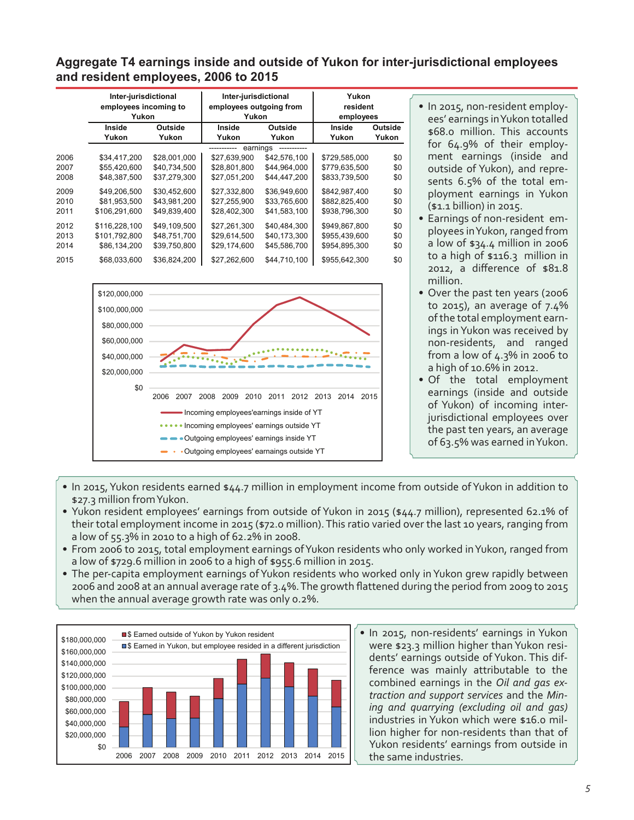# **Aggregate T4 earnings inside and outside of Yukon for inter-jurisdictional employees and resident employees, 2006 to 2015**

|      | Inter-jurisdictional<br>employees incoming to<br>Yukon |              | Inter-jurisdictional<br>employees outgoing from<br>Yukon |              | Yukon<br>resident<br>employees |         |  |
|------|--------------------------------------------------------|--------------|----------------------------------------------------------|--------------|--------------------------------|---------|--|
|      | Inside                                                 | Outside      | Inside                                                   | Outside      | Inside                         | Outside |  |
|      | Yukon                                                  | Yukon        | Yukon                                                    | Yukon        | Yukon                          | Yukon   |  |
|      |                                                        |              | earnings                                                 |              |                                |         |  |
| 2006 | \$34.417.200                                           | \$28,001,000 | \$27,639,900                                             | \$42,576,100 | \$729,585,000                  | \$0     |  |
| 2007 | \$55,420,600                                           | \$40,734,500 | \$28,801,800                                             | \$44,964,000 | \$779,635,500                  | \$0     |  |
| 2008 | \$48,387,500                                           | \$37,279,300 | \$27,051,200                                             | \$44,447,200 | \$833,739,500                  | \$0     |  |
| 2009 | \$49.206.500                                           | \$30.452.600 | \$27,332,800                                             | \$36,949,600 | \$842.987.400                  | \$0     |  |
| 2010 | \$81.953.500                                           | \$43,981,200 | \$27,255,900                                             | \$33,765,600 | \$882,825,400                  | \$0     |  |
| 2011 | \$106,291,600                                          | \$49,839,400 | \$28,402,300                                             | \$41,583,100 | \$938,796,300                  | \$0     |  |
| 2012 | \$116,228,100                                          | \$49,109,500 | \$27,261,300                                             | \$40,484,300 | \$949,867,800                  | \$0     |  |
| 2013 | \$101.792.800                                          | \$48,751,700 | \$29,614,500                                             | \$40,173,300 | \$955,439,600                  | \$0     |  |
| 2014 | \$86,134,200                                           | \$39,750,800 | \$29,174,600                                             | \$45,586,700 | \$954,895,300                  | \$0     |  |
| 2015 | \$68,033,600                                           | \$36,824,200 | \$27,262,600                                             | \$44,710,100 | \$955,642,300                  | \$0     |  |



- In 2015, non-resident employees' earnings inYukon totalled \$68.0 million. This accounts for 64.9% of their employment earnings (inside and outside of Yukon), and represents 6.5% of the total employment earnings in Yukon (\$1.1 billion) in 2015.
- Earnings of non-resident employees inYukon, ranged from a low of \$34.4 million in 2006 to a high of \$116.3 million in 2012, a difference of \$81.8 million.
- Over the past ten years (2006 to 2015), an average of 7.4% ofthe total employment earnings inYukon was received by non-residents, and ranged from a low of 4.3% in 2006 to a high of 10.6% in 2012.
- Of the total employment earnings (inside and outside of Yukon) of incoming interjurisdictional employees over the past ten years, an average of 63.5% was earned inYukon.
- • In 2015,Yukon residents earned \$44.7 million in employment income from outside ofYukon in addition to \$27.3 million fromYukon.
- Yukon resident employees' earnings from outside of Yukon in 2015 (\$44.7 million), represented 62.1% of their total employment income in 2015 (\$72.0 million).This ratio varied over the last 10 years, ranging from a low of 55.3% in 2010 to a high of 62.2% in 2008.
- From 2006 to 2015, total employment earnings of Yukon residents who only worked in Yukon, ranged from a low of \$729.6 million in 2006 to a high of \$955.6 million in 2015.
- The per-capita employment earnings of Yukon residents who worked only in Yukon grew rapidly between 2006 and 2008 at an annual average rate of 3.4%.The growth flattened during the period from 2009 to 2015 when the annual average growth rate was only 0.2%.



• In 2015, non-residents' earnings in Yukon were \$23.3 million higher than Yukon residents' earnings outside of Yukon. This difference was mainly attributable to the combined earnings in the *Oil and gas extraction and support services* and the *Mining and quarrying (excluding oil and gas)*  industries in Yukon which were \$16.0 million higher for non-residents than that of Yukon residents' earnings from outside in the same industries.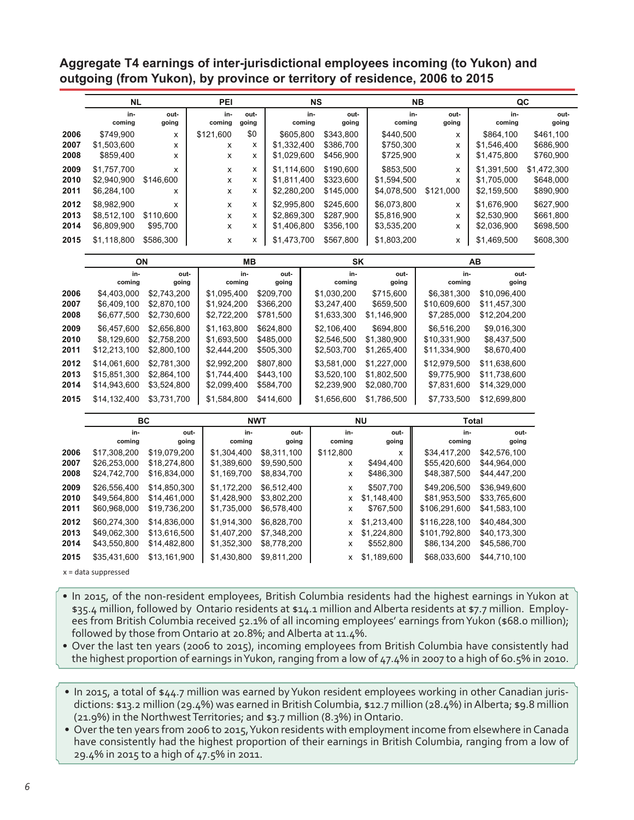**Aggregate T4 earnings of inter-jurisdictional employees incoming (to Yukon) and outgoing (from Yukon), by province or territory of residence, 2006 to 2015**

|              | <b>NL</b>                  |                | PEI                |               |                            | <b>NS</b> |                        |                            | NΒ                        | QC                         |                        |
|--------------|----------------------------|----------------|--------------------|---------------|----------------------------|-----------|------------------------|----------------------------|---------------------------|----------------------------|------------------------|
|              | in-                        | out-           | in-                | out-          |                            | in-       | out-                   | in-                        | out-                      | in-                        | out-                   |
|              | coming                     | going          | coming             | going         |                            | coming    | going                  | coming                     | going                     | coming                     | going                  |
| 2006         | \$749,900                  | х              | \$121,600          | \$0           | \$605,800                  |           | \$343,800              | \$440,500                  | x                         | \$864,100                  | \$461,100              |
| 2007         | \$1,503,600                | x              | х                  | x             | \$1,332,400                |           | \$386,700              | \$750,300                  | X                         | \$1,546,400                | \$686,900              |
| 2008         | \$859,400                  | X              | $\pmb{\mathsf{x}}$ | x             | \$1,029,600                |           | \$456,900              | \$725,900                  | X                         | \$1,475,800                | \$760,900              |
| 2009         | \$1,757,700                | X              | X                  | x             | \$1,114,600                |           | \$190,600              | \$853,500                  | X                         | \$1,391,500                | \$1,472,300            |
| 2010         | \$2,940,900                | \$146,600      | X                  | x             | \$1,811,400                |           | \$323,600              | \$1,594,500                | $\boldsymbol{\mathsf{x}}$ | \$1,705,000                | \$648,000              |
| 2011         | \$6,284,100                | х              | X                  | x             | \$2,280,200                |           | \$145,000              | \$4,078,500                | \$121,000                 | \$2,159,500                | \$890,900              |
|              |                            |                |                    |               |                            |           |                        |                            |                           |                            |                        |
| 2012<br>2013 | \$8,982,900                | x<br>\$110,600 | x                  | x<br>x        | \$2,995,800                |           | \$245,600<br>\$287,900 | \$6,073,800<br>\$5,816,900 | х                         | \$1,676,900<br>\$2,530,900 | \$627,900<br>\$661,800 |
| 2014         | \$8,512,100<br>\$6,809,900 | \$95,700       | X<br>X             | х             | \$2,869,300<br>\$1,406,800 |           | \$356,100              | \$3,535,200                | X<br>x                    | \$2,036,900                | \$698,500              |
|              |                            |                |                    |               |                            |           |                        |                            |                           |                            |                        |
| 2015         | \$1,118,800                | \$586,300      | X                  | x             | \$1,473,700                |           | \$567,800              | \$1,803,200                | x                         | \$1,469,500                | \$608,300              |
|              |                            | ON             |                    | MВ            |                            |           | SK                     |                            |                           | AВ                         |                        |
|              | in-                        | out-           |                    | in-           | out-                       |           | in-                    | out-                       | in-                       | out-                       |                        |
|              | coming                     | going          | coming             |               | going                      |           | coming                 | going                      | coming                    | going                      |                        |
| 2006         | \$4,403,000                | \$2,743,200    | \$1,095,400        |               | \$209,700                  |           | \$1,030,200            | \$715,600                  | \$6,381,300               | \$10,096,400               |                        |
| 2007         | \$6,409,100                | \$2,870,100    | \$1,924,200        |               | \$366,200                  |           | \$3,247,400            | \$659,500                  | \$10,609,600              | \$11,457,300               |                        |
| 2008         | \$6,677,500                | \$2,730,600    | \$2,722,200        |               | \$781,500                  |           | \$1,633,300            | \$1,146,900                | \$7,285,000               | \$12,204,200               |                        |
| 2009         | \$6,457,600                | \$2,656,800    | \$1,163,800        |               | \$624,800                  |           | \$2,106,400            | \$694,800                  | \$6,516,200               | \$9,016,300                |                        |
| 2010         | \$8,129,600                | \$2,758,200    | \$1,693,500        |               | \$485,000                  |           | \$2,546,500            | \$1,380,900                | \$10,331,900              | \$8,437,500                |                        |
| 2011         | \$12,213,100               | \$2,800,100    | \$2,444,200        |               | \$505,300                  |           | \$2,503,700            | \$1,265,400                | \$11,334,900              | \$8,670,400                |                        |
| 2012         | \$14,061,600               | \$2,781,300    | \$2,992,200        |               | \$807,800                  |           | \$3,581,000            | \$1,227,000                | \$12,979,500              | \$11,638,600               |                        |
| 2013         | \$15,851,300               | \$2,864,100    | \$1,744,400        |               | \$443,100                  |           | \$3,520,100            | \$1,802,500                | \$9,775,900               | \$11,738,600               |                        |
| 2014         | \$14,943,600               | \$3,524,800    | \$2,099,400        |               | \$584,700                  |           | \$2,239,900            | \$2,080,700                | \$7,831,600               | \$14,329,000               |                        |
| 2015         | \$14,132,400               | \$3,731,700    | \$1,584,800        |               | \$414,600                  |           | \$1,656,600            | \$1,786,500                | \$7,733,500               | \$12,699,800               |                        |
|              |                            |                |                    |               |                            |           |                        |                            |                           |                            |                        |
|              |                            | BC             |                    | <b>NWT</b>    |                            |           |                        | ΝU                         |                           | Total                      |                        |
|              | in-<br>coming              | out-<br>going  |                    | in-<br>coming | out-<br>going              |           | in-<br>coming          | out-<br>going              | in-<br>coming             | out-<br>going              |                        |
| 2006         | \$17,308,200               | \$19,079,200   | \$1,304,400        |               | \$8,311,100                |           | \$112,800              | x                          | \$34,417,200              | \$42,576,100               |                        |
| 2007         | \$26,253,000               | \$18,274,800   | \$1,389,600        |               | \$9,590,500                |           | x                      | \$494,400                  | \$55,420,600              | \$44,964,000               |                        |
| 2008         | \$24,742,700               | \$16,834,000   | \$1,169,700        |               | \$8,834,700                |           | X                      | \$486,300                  | \$48,387,500              | \$44,447,200               |                        |
| 2009         | \$26,556,400               | \$14,850,300   | \$1,172,200        |               | \$6,512,400                |           | X                      | \$507,700                  | \$49,206,500              | \$36,949,600               |                        |
| 2010         | \$49,564,800               | \$14,461,000   | \$1,428,900        |               | \$3,802,200                |           | X                      | \$1,148,400                | \$81,953,500              | \$33,765,600               |                        |
| 2011         | \$60,968,000               | \$19,736,200   | \$1,735,000        |               | \$6,578,400                |           | x                      | \$767,500                  | \$106,291,600             | \$41,583,100               |                        |
| 2012         | \$60,274,300               | \$14,836,000   | \$1,914,300        |               | \$6,828,700                |           | x                      | \$1,213,400                | \$116,228,100             | \$40,484,300               |                        |
| 2013         | \$49,062,300               | \$13,616,500   | \$1,407,200        |               | \$7,348,200                |           | X                      | \$1,224,800                | \$101,792,800             | \$40,173,300               |                        |
| 2014         | \$43,550,800               | \$14,482,800   | \$1,352,300        |               | \$8,778,200                |           | x                      | \$552,800                  | \$86,134,200              | \$45,586,700               |                        |
| 2015         | \$35,431,600               | \$13,161,900   | \$1,430,800        |               | \$9,811,200                |           | x                      | \$1,189,600                | \$68,033,600              | \$44,710,100               |                        |

x = data suppressed

- In 2015, of the non-resident employees, British Columbia residents had the highest earnings in Yukon at \$35.4 million, followed by Ontario residents at \$14.1 million and Alberta residents at \$7.7 million. Employees from British Columbia received 52.1% of all incoming employees' earnings from Yukon (\$68.0 million); followed by those from Ontario at 20.8%; and Alberta at 11.4%.
- Over the last ten years (2006 to 2015), incoming employees from British Columbia have consistently had the highest proportion of earnings inYukon, ranging from a low of 47.4% in 2007 to a high of 60.5% in 2010.
- In 2015, a total of \$44.7 million was earned by Yukon resident employees working in other Canadian jurisdictions: \$13.2 million (29.4%) was earned in British Columbia, \$12.7 million (28.4%) in Alberta; \$9.8 million (21.9%) in the Northwest Territories; and \$3.7 million (8.3%) in Ontario.
- Over the ten years from 2006 to 2015, Yukon residents with employment income from elsewhere in Canada have consistently had the highest proportion of their earnings in British Columbia, ranging from a low of 29.4% in 2015 to a high of 47.5% in 2011.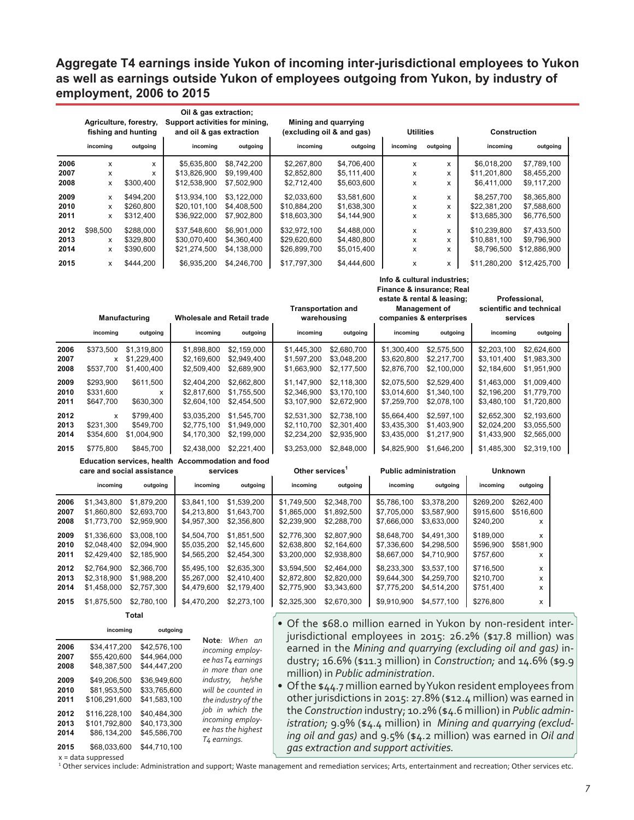# **Aggregate T4 earnings inside Yukon of incoming inter-jurisdictional employees to Yukon as well as earnings outside Yukon of employees outgoing from Yukon, by industry of employment, 2006 to 2015**

|                      | Agriculture, forestry,<br>fishing and hunting |                                           | Oil & gas extraction;<br>Support activities for mining,<br>and oil & gas extraction |                                           |                                              | Mining and quarrying<br>(excluding oil & and gas) |                                           | <b>Utilities</b>                                                                            |                                             | Construction                               |  |
|----------------------|-----------------------------------------------|-------------------------------------------|-------------------------------------------------------------------------------------|-------------------------------------------|----------------------------------------------|---------------------------------------------------|-------------------------------------------|---------------------------------------------------------------------------------------------|---------------------------------------------|--------------------------------------------|--|
|                      | incoming                                      | outgoing                                  | incoming                                                                            | outgoing                                  | incoming                                     | outgoing                                          | incoming                                  | outgoing                                                                                    | incoming                                    | outgoing                                   |  |
| 2006<br>2007<br>2008 | x<br>x<br>x                                   | x<br>X<br>\$300,400                       | \$5,635,800<br>\$13,826,900<br>\$12,538,900                                         | \$8,742,200<br>\$9,199,400<br>\$7,502,900 | \$2,267,800<br>\$2,852,800<br>\$2,712,400    | \$4,706,400<br>\$5,111,400<br>\$5,603,600         | X<br>x<br>x                               | x<br>X<br>x                                                                                 | \$6,018,200<br>\$11,201,800<br>\$6,411,000  | \$7,789,100<br>\$8,455,200<br>\$9,117,200  |  |
| 2009<br>2010<br>2011 | x<br>X<br>x                                   | \$494,200<br>\$260,800<br>\$312,400       | \$13,934,100<br>\$20,101,100<br>\$36,922,000                                        | \$3,122,000<br>\$4,408,500<br>\$7,902,800 | \$2,033,600<br>\$10,884,200<br>\$18,603,300  | \$3,581,600<br>\$1,638,300<br>\$4,144,900         | $\pmb{\mathsf{x}}$<br>x<br>x              | $\pmb{\times}$<br>$\pmb{\times}$<br>X                                                       | \$8,257,700<br>\$22,381,200<br>\$13,685,300 | \$8,365,800<br>\$7,588,600<br>\$6,776,500  |  |
| 2012<br>2013<br>2014 | \$98,500<br>x<br>X                            | \$288,000<br>\$329,800<br>\$390,600       | \$37,548,600<br>\$30,070,400<br>\$21,274,500                                        | \$6,901,000<br>\$4,360,400<br>\$4,138,000 | \$32,972,100<br>\$29,620,600<br>\$26,899,700 | \$4,488,000<br>\$4,480,800<br>\$5,015,400         | $\pmb{\times}$<br>X<br>X                  | $\pmb{\times}$<br>x<br>X                                                                    | \$10,239,800<br>\$10,881,100<br>\$8,796,500 | \$7,433,500<br>\$9,796,900<br>\$12,886,900 |  |
| 2015                 | x                                             | \$444,200                                 | \$6,935,200                                                                         | \$4,246,700                               | \$17,797,300                                 | \$4,444,600                                       | $\pmb{\times}$                            | x<br>Info & cultural industries;<br>Finance & insurance; Real<br>estate & rental & leasing; | \$11,280,200                                | \$12,425,700<br>Professional,              |  |
|                      |                                               | Manufacturing                             | <b>Wholesale and Retail trade</b>                                                   |                                           |                                              | <b>Transportation and</b><br>warehousing          |                                           | <b>Management of</b><br>companies & enterprises                                             |                                             | scientific and technical<br>services       |  |
|                      | incoming                                      | outgoing                                  | incoming                                                                            | outgoing                                  | incoming                                     | outgoing                                          | incoming                                  | outgoing                                                                                    | incoming                                    | outgoing                                   |  |
| 2006<br>2007<br>2008 | \$373,500<br>X<br>\$537,700                   | \$1,319,800<br>\$1,229,400<br>\$1,400,400 | \$1,898,800<br>\$2,169,600<br>\$2,509,400                                           | \$2,159,000<br>\$2,949,400<br>\$2,689,900 | \$1,445,300<br>\$1,597,200<br>\$1,663,900    | \$2,680,700<br>\$3,048,200<br>\$2,177,500         | \$1,300,400<br>\$3,620,800<br>\$2,876,700 | \$2,575,500<br>\$2,217,700<br>\$2,100,000                                                   | \$2,203,100<br>\$3,101,400<br>\$2,184,600   | \$2,624,600<br>\$1,983,300<br>\$1,951,900  |  |
| 2009<br>2010<br>2011 | \$293,900<br>\$331,600<br>\$647,700           | \$611,500<br>x<br>\$630,300               | \$2,404,200<br>\$2,817,600<br>\$2,604,100                                           | \$2,662,800<br>\$1,755,500<br>\$2,454,500 | \$1,147,900<br>\$2,346,900<br>\$3,107,900    | \$2,118,300<br>\$3,170,100<br>\$2,672,900         | \$2,075,500<br>\$3,014,600<br>\$7,259,700 | \$2,529,400<br>\$1,340,100<br>\$2,078,100                                                   | \$1,463,000<br>\$2,196,200<br>\$3,480,100   | \$1,009,400<br>\$1,779,700<br>\$1,720,800  |  |
| 2012<br>2013<br>2014 | x<br>\$231.300<br>\$354,600                   | \$799,400<br>\$549.700<br>\$1,004,900     | \$3,035,200<br>\$2,775,100<br>\$4,170,300                                           | \$1,545,700<br>\$1,949,000<br>\$2,199,000 | \$2,531,300<br>\$2,110,700<br>\$2,234,200    | \$2,738,100<br>\$2,301,400<br>\$2,935,900         | \$5,664,400<br>\$3,435,300<br>\$3,435,000 | \$2,597,100<br>\$1,403,900<br>\$1,217,900                                                   | \$2,652,300<br>\$2,024,200<br>\$1,433,900   | \$2,193,600<br>\$3,055,500<br>\$2,565,000  |  |
| 2015                 | \$775,800                                     | \$845,700                                 | \$2,438,000                                                                         | \$2,221,400                               | \$3,253,000                                  | \$2,848,000                                       | \$4,825,900                               | \$1,646,200                                                                                 | \$1,485,300                                 | \$2,319,100                                |  |
|                      |                                               | care and social assistance                | Education services, health Accommodation and food                                   | services                                  | Other services <sup>1</sup>                  |                                                   |                                           | <b>Public administration</b>                                                                | <b>Unknown</b>                              |                                            |  |
|                      | incoming                                      | outgoing                                  | incoming                                                                            | outgoing                                  | incoming                                     | outgoing                                          | incoming                                  | outgoing                                                                                    | incoming                                    | outgoing                                   |  |
| 2006<br>2007<br>2008 | \$1,343,800<br>\$1,860,800<br>\$1,773,700     | \$1,879,200<br>\$2,693,700<br>\$2,959,900 | \$3,841,100<br>\$4,213,800<br>\$4,957,300                                           | \$1,539,200<br>\$1,643,700<br>\$2,356,800 | \$1,749,500<br>\$1,865,000<br>\$2,239,900    | \$2,348,700<br>\$1,892,500<br>\$2,288,700         | \$5,786,100<br>\$7,705,000<br>\$7,666,000 | \$3,378,200<br>\$3,587,900<br>\$3,633,000                                                   | \$269,200<br>\$915,600<br>\$240,200         | \$262,400<br>\$516,600<br>X                |  |
| 2009<br>2010<br>2011 | \$1,336,600<br>\$2,048,400<br>\$2,429,400     | \$3,008,100<br>\$2,094,900<br>\$2,185,900 | \$4,504,700<br>\$5,035,200<br>\$4,565,200                                           | \$1,851,500<br>\$2,145,600<br>\$2,454,300 | \$2,776,300<br>\$2,638,800<br>\$3,200,000    | \$2,807,900<br>\$2,164,600<br>\$2,938,800         | \$8,648,700<br>\$7,336,600<br>\$8,667,000 | \$4,491,300<br>\$4,298,500<br>\$4,710,900                                                   | \$189,000<br>\$596,900<br>\$757,600         | X<br>\$581,900<br>x                        |  |
| 2012<br>2013<br>2014 | \$2,764,900<br>\$2,318,900<br>\$1,458,000     | \$2,366,700<br>\$1,988,200<br>\$2,757,300 | \$5,495,100<br>\$5,267,000<br>\$4,479,600                                           | \$2,635,300<br>\$2,410,400<br>\$2,179,400 | \$3,594,500<br>\$2,872,800<br>\$2,775,900    | \$2,464,000<br>\$2,820,000<br>\$3,343,600         | \$8,233,300<br>\$9,644,300<br>\$7,775,200 | \$3,537,100<br>\$4,259,700<br>\$4,514,200                                                   | \$716,500<br>\$210,700<br>\$751,400         | x<br>x<br>X                                |  |
| 2015                 | \$1,875,500                                   | \$2,780,100                               | \$4,470,200                                                                         | \$2,273,100                               | \$2,325,300                                  | \$2,670,300                                       | \$9,910,900                               | \$4,577,100                                                                                 | \$276,800                                   | X                                          |  |
|                      |                                               | Total                                     |                                                                                     |                                           |                                              |                                                   |                                           |                                                                                             |                                             |                                            |  |

| ×<br>۰. | νιαι<br>. . |  |
|---------|-------------|--|
|         |             |  |
|         |             |  |

|                              | incoming                                                       | outgoing                                                     |                                                                                        |
|------------------------------|----------------------------------------------------------------|--------------------------------------------------------------|----------------------------------------------------------------------------------------|
| 2006<br>2007<br>2008         | \$34.417.200<br>\$55,420,600<br>\$48,387,500                   | \$42,576,100<br>\$44,964,000<br>\$44.447.200                 | Note: When an<br>incoming employ-<br>ee has T4 earnings<br>in more than one            |
| 2009<br>2010<br>2011         | \$49,206,500<br>\$81.953.500<br>\$106,291,600                  | \$36,949,600<br>\$33,765,600<br>\$41,583,100                 | industry, he/she<br>will be counted in<br>the industry of the                          |
| 2012<br>2013<br>2014<br>2015 | \$116.228.100<br>\$101,792,800<br>\$86.134.200<br>\$68,033,600 | \$40.484.300<br>\$40,173,300<br>\$45,586,700<br>\$44,710,100 | job in which the<br>incoming employ-<br>ee has the highest<br>T <sub>4</sub> earnings. |
|                              |                                                                |                                                              |                                                                                        |

- Of the \$68.0 million earned in Yukon by non-resident interjurisdictional employees in 2015: 26.2% (\$17.8 million) was earned in the *Mining and quarrying (excluding oil and gas)* industry; 16.6% (\$11.3 million) in *Construction;* and 14.6% (\$9.9 million) in *Public administration*.
- Of the \$44.7 million earned by Yukon resident employees from other jurisdictions in 2015: 27.8% (\$12.4 million) was earned in the *Construction* industry; 10.2% (\$4.6 million) in *Public administration;* 9.9% (\$4.4 million) in *Mining and quarrying (excluding oil and gas)* and 9.5% (\$4.2 million) was earned in *Oil and gas extraction and support activities.*

x = data suppressed

<sup>1</sup> Other services include: Administration and support; Waste management and remediation services; Arts, entertainment and recreation; Other services etc.